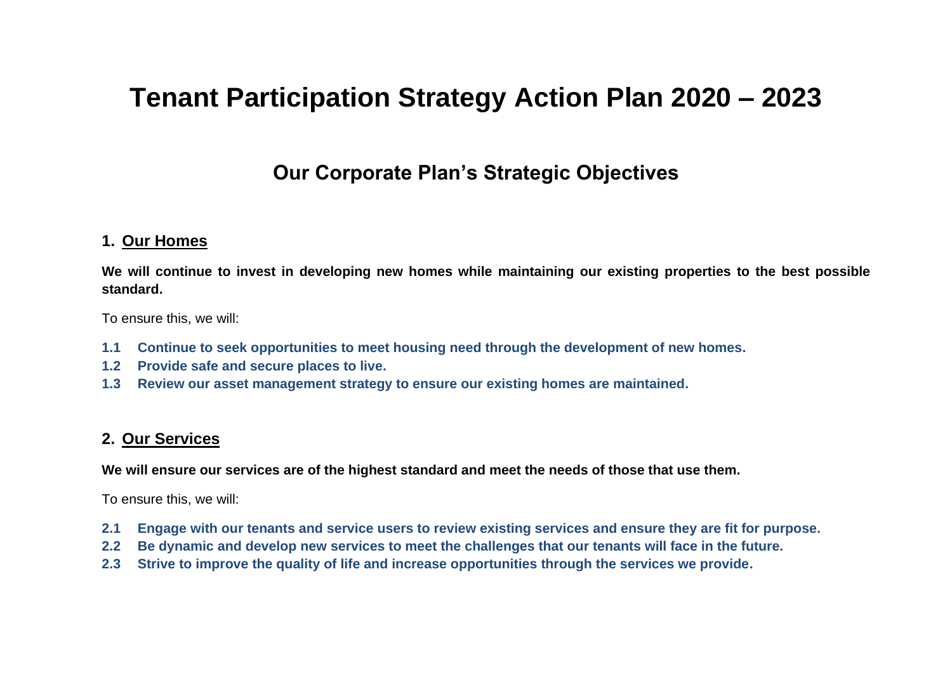# **Tenant Participation Strategy Action Plan 2020 – 2023**

# **Our Corporate Plan's Strategic Objectives**

#### **1. Our Homes**

**We will continue to invest in developing new homes while maintaining our existing properties to the best possible standard.**

To ensure this, we will:

- **1.1 Continue to seek opportunities to meet housing need through the development of new homes.**
- **1.2 Provide safe and secure places to live.**
- **1.3 Review our asset management strategy to ensure our existing homes are maintained.**

### **2. Our Services**

**We will ensure our services are of the highest standard and meet the needs of those that use them.**

To ensure this, we will:

- **2.1 Engage with our tenants and service users to review existing services and ensure they are fit for purpose.**
- **2.2 Be dynamic and develop new services to meet the challenges that our tenants will face in the future.**
- **2.3 Strive to improve the quality of life and increase opportunities through the services we provide.**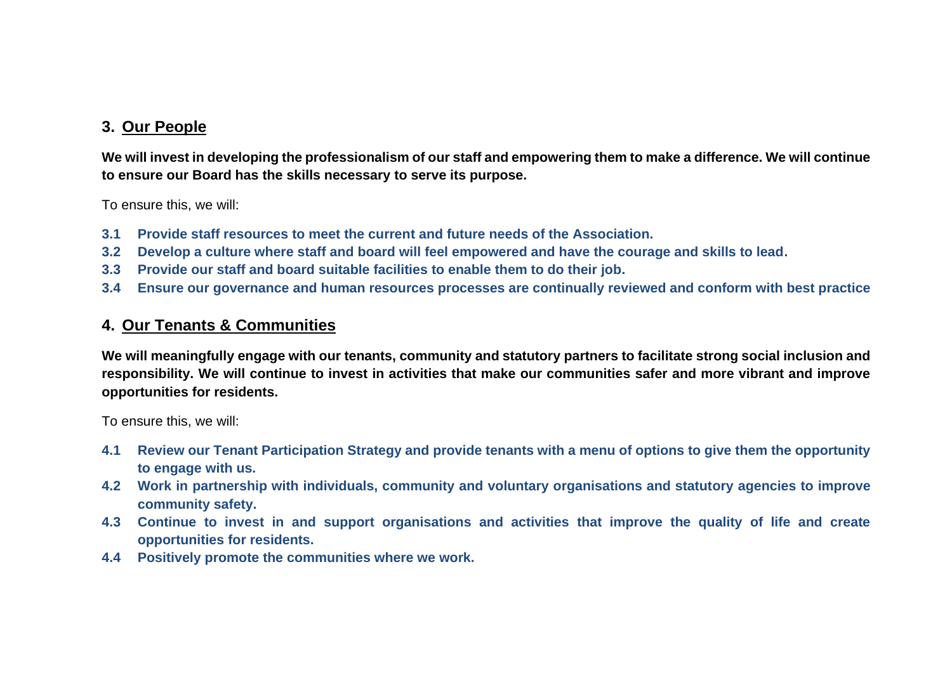### **3. Our People**

**We will invest in developing the professionalism of our staff and empowering them to make a difference. We will continue to ensure our Board has the skills necessary to serve its purpose.** 

To ensure this, we will:

- **3.1 Provide staff resources to meet the current and future needs of the Association.**
- **3.2 Develop a culture where staff and board will feel empowered and have the courage and skills to lead.**
- **3.3 Provide our staff and board suitable facilities to enable them to do their job.**
- **3.4 Ensure our governance and human resources processes are continually reviewed and conform with best practice**

### **4. Our Tenants & Communities**

**We will meaningfully engage with our tenants, community and statutory partners to facilitate strong social inclusion and responsibility. We will continue to invest in activities that make our communities safer and more vibrant and improve opportunities for residents.** 

To ensure this, we will:

- **4.1 Review our Tenant Participation Strategy and provide tenants with a menu of options to give them the opportunity to engage with us.**
- **4.2 Work in partnership with individuals, community and voluntary organisations and statutory agencies to improve community safety.**
- **4.3 Continue to invest in and support organisations and activities that improve the quality of life and create opportunities for residents.**
- **4.4 Positively promote the communities where we work.**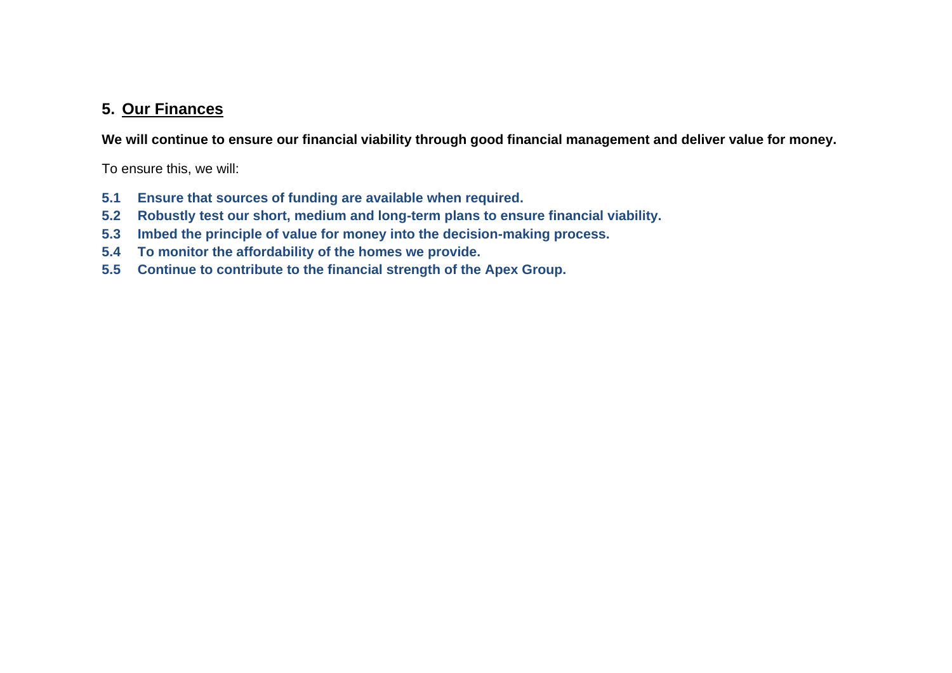#### **5. Our Finances**

**We will continue to ensure our financial viability through good financial management and deliver value for money.**

To ensure this, we will:

- **5.1 Ensure that sources of funding are available when required.**
- **5.2 Robustly test our short, medium and long-term plans to ensure financial viability.**
- **5.3 Imbed the principle of value for money into the decision-making process.**
- **5.4 To monitor the affordability of the homes we provide.**
- **5.5 Continue to contribute to the financial strength of the Apex Group.**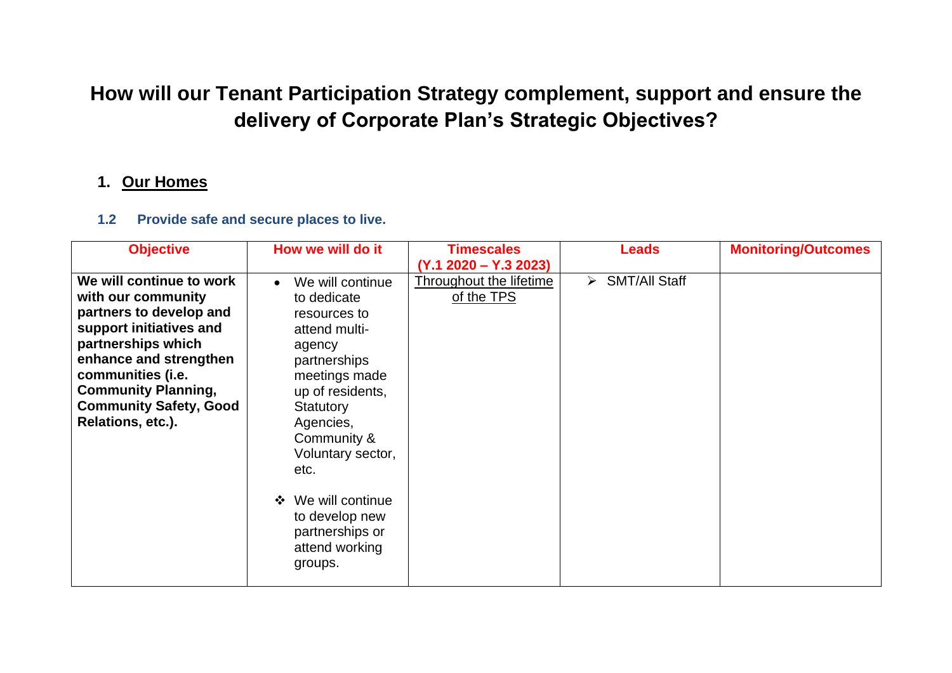# **How will our Tenant Participation Strategy complement, support and ensure the delivery of Corporate Plan's Strategic Objectives?**

#### **1. Our Homes**

#### **1.2 Provide safe and secure places to live.**

| <b>Objective</b>              | How we will do it                | <b>Timescales</b>       | <b>Leads</b>                   | <b>Monitoring/Outcomes</b> |
|-------------------------------|----------------------------------|-------------------------|--------------------------------|----------------------------|
|                               |                                  | $(Y.1 2020 - Y.3 2023)$ |                                |                            |
| We will continue to work      | We will continue<br>$\bullet$    | Throughout the lifetime | $\triangleright$ SMT/All Staff |                            |
| with our community            | to dedicate                      | of the TPS              |                                |                            |
| partners to develop and       | resources to                     |                         |                                |                            |
| support initiatives and       | attend multi-                    |                         |                                |                            |
| partnerships which            | agency                           |                         |                                |                            |
| enhance and strengthen        | partnerships                     |                         |                                |                            |
| communities (i.e.             | meetings made                    |                         |                                |                            |
| <b>Community Planning,</b>    | up of residents,                 |                         |                                |                            |
| <b>Community Safety, Good</b> | Statutory                        |                         |                                |                            |
| Relations, etc.).             | Agencies,                        |                         |                                |                            |
|                               | Community &                      |                         |                                |                            |
|                               | Voluntary sector,                |                         |                                |                            |
|                               | etc.                             |                         |                                |                            |
|                               |                                  |                         |                                |                            |
|                               | We will continue<br>$\mathbf{A}$ |                         |                                |                            |
|                               | to develop new                   |                         |                                |                            |
|                               | partnerships or                  |                         |                                |                            |
|                               | attend working                   |                         |                                |                            |
|                               | groups.                          |                         |                                |                            |
|                               |                                  |                         |                                |                            |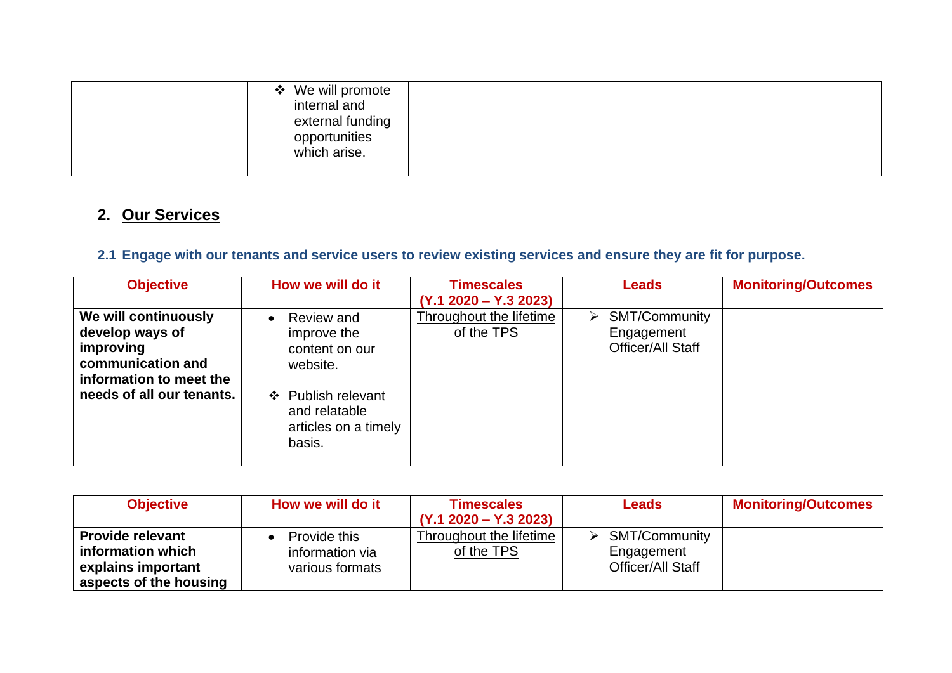| ❖ We will promote<br>internal and<br>external funding<br>opportunities<br>which arise. |  |  |
|----------------------------------------------------------------------------------------|--|--|
|                                                                                        |  |  |

# **2. Our Services**

### **2.1 Engage with our tenants and service users to review existing services and ensure they are fit for purpose.**

| <b>Objective</b>                                                                                                                  | How we will do it                                                                                                                | <b>Timescales</b><br>$(Y.1 2020 - Y.3 2023)$ | <b>Leads</b>                                                             | <b>Monitoring/Outcomes</b> |
|-----------------------------------------------------------------------------------------------------------------------------------|----------------------------------------------------------------------------------------------------------------------------------|----------------------------------------------|--------------------------------------------------------------------------|----------------------------|
| We will continuously<br>develop ways of<br>improving<br>communication and<br>information to meet the<br>needs of all our tenants. | Review and<br>improve the<br>content on our<br>website.<br>❖ Publish relevant<br>and relatable<br>articles on a timely<br>basis. | <b>Throughout the lifetime</b><br>of the TPS | $\triangleright$ SMT/Community<br>Engagement<br><b>Officer/All Staff</b> |                            |

| <b>Objective</b>                                                                             | How we will do it                                  | <b>Timescales</b><br>$(Y.1 2020 - Y.3 2023)$ | <b>Leads</b>                                                   | <b>Monitoring/Outcomes</b> |
|----------------------------------------------------------------------------------------------|----------------------------------------------------|----------------------------------------------|----------------------------------------------------------------|----------------------------|
| <b>Provide relevant</b><br>information which<br>explains important<br>aspects of the housing | Provide this<br>information via<br>various formats | Throughout the lifetime<br>of the TPS        | <b>SMT/Community</b><br>Engagement<br><b>Officer/All Staff</b> |                            |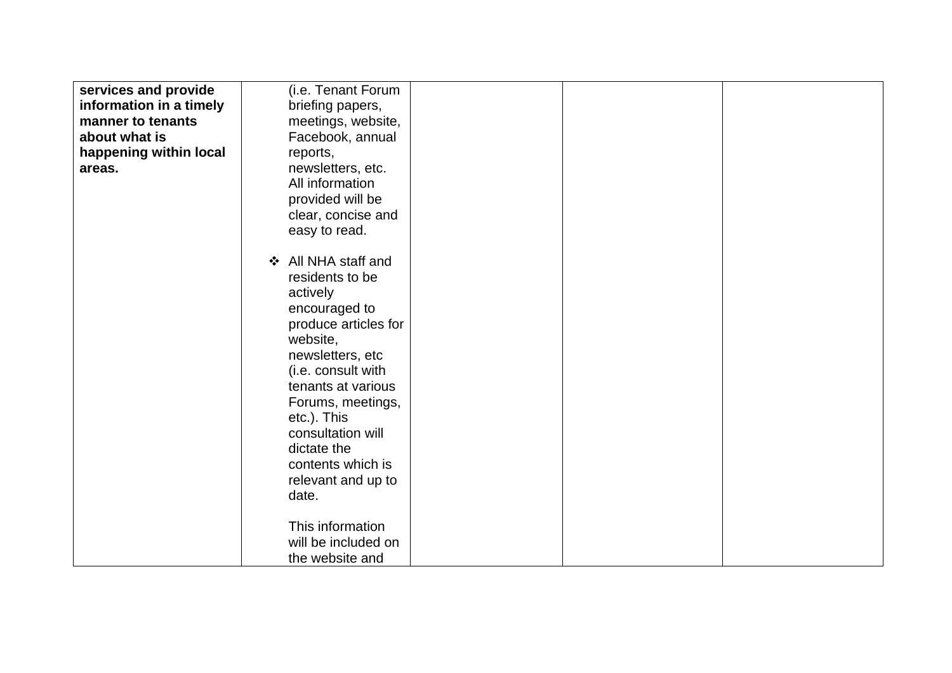| services and provide    | (i.e. Tenant Forum                |  |  |
|-------------------------|-----------------------------------|--|--|
|                         |                                   |  |  |
| information in a timely | briefing papers,                  |  |  |
| manner to tenants       | meetings, website,                |  |  |
| about what is           | Facebook, annual                  |  |  |
| happening within local  | reports,                          |  |  |
| areas.                  | newsletters, etc.                 |  |  |
|                         | All information                   |  |  |
|                         | provided will be                  |  |  |
|                         | clear, concise and                |  |  |
|                         | easy to read.                     |  |  |
|                         |                                   |  |  |
|                         |                                   |  |  |
|                         | All NHA staff and<br>$\mathbf{A}$ |  |  |
|                         | residents to be                   |  |  |
|                         | actively                          |  |  |
|                         | encouraged to                     |  |  |
|                         | produce articles for              |  |  |
|                         | website,                          |  |  |
|                         | newsletters, etc                  |  |  |
|                         | (i.e. consult with                |  |  |
|                         | tenants at various                |  |  |
|                         | Forums, meetings,                 |  |  |
|                         |                                   |  |  |
|                         | etc.). This                       |  |  |
|                         | consultation will                 |  |  |
|                         | dictate the                       |  |  |
|                         | contents which is                 |  |  |
|                         | relevant and up to                |  |  |
|                         | date.                             |  |  |
|                         |                                   |  |  |
|                         | This information                  |  |  |
|                         | will be included on               |  |  |
|                         | the website and                   |  |  |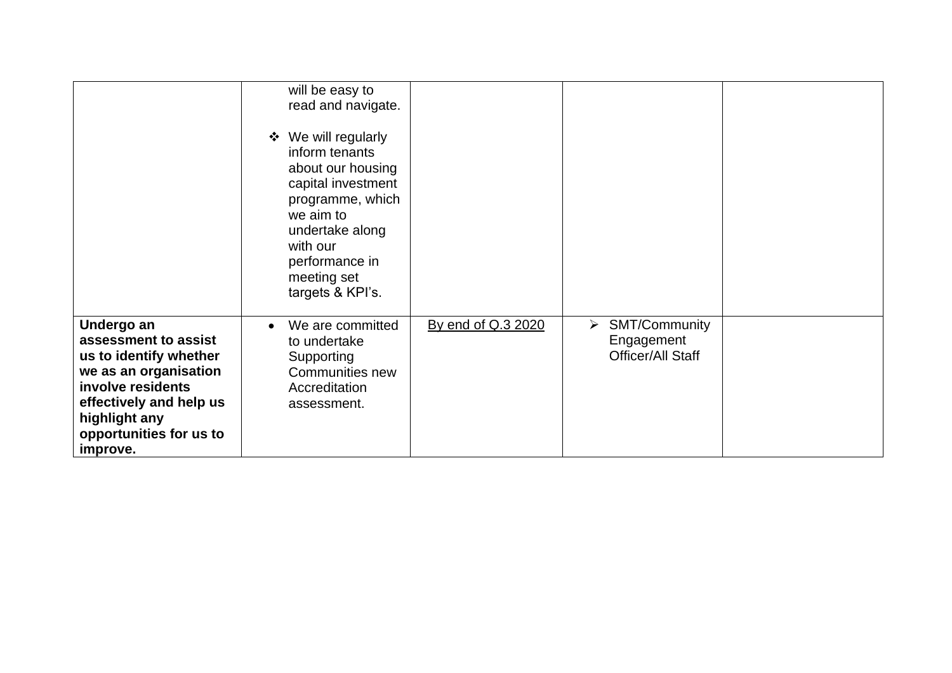|                                                                                                                                                                                               | will be easy to<br>read and navigate.<br>❖ We will regularly<br>inform tenants<br>about our housing<br>capital investment<br>programme, which<br>we aim to<br>undertake along<br>with our<br>performance in<br>meeting set<br>targets & KPI's. |                    |                                                                                         |  |
|-----------------------------------------------------------------------------------------------------------------------------------------------------------------------------------------------|------------------------------------------------------------------------------------------------------------------------------------------------------------------------------------------------------------------------------------------------|--------------------|-----------------------------------------------------------------------------------------|--|
| Undergo an<br>assessment to assist<br>us to identify whether<br>we as an organisation<br>involve residents<br>effectively and help us<br>highlight any<br>opportunities for us to<br>improve. | We are committed<br>to undertake<br>Supporting<br><b>Communities new</b><br>Accreditation<br>assessment.                                                                                                                                       | By end of Q.3 2020 | <b>SMT/Community</b><br>$\blacktriangleright$<br>Engagement<br><b>Officer/All Staff</b> |  |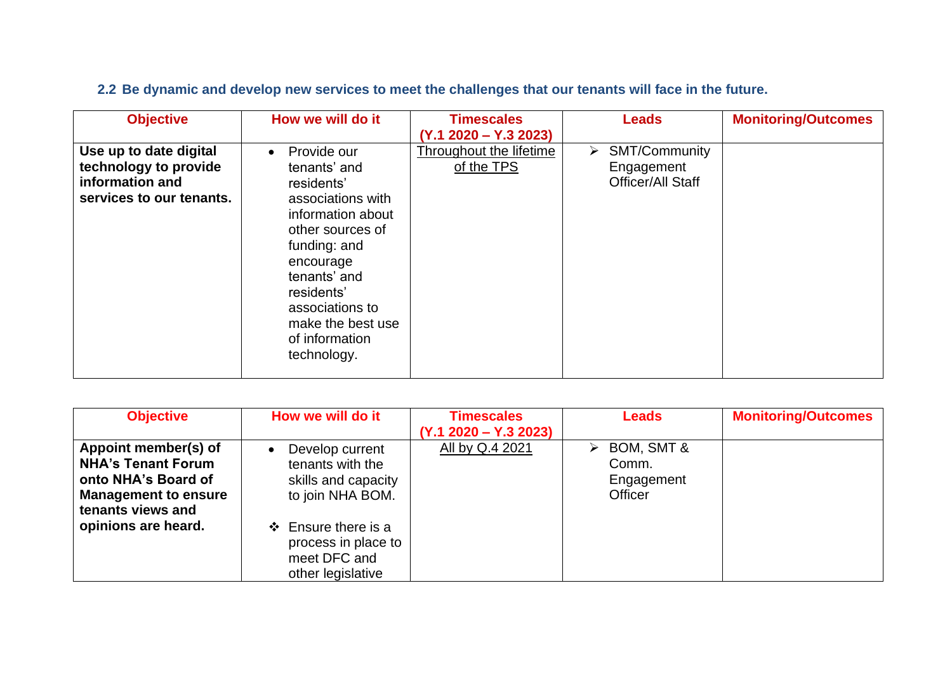| <b>Objective</b>                                                                               | How we will do it                                                                                                                                                                                                                                        | <b>Timescales</b><br>$(Y.1 2020 - Y.3 2023)$ | <b>Leads</b>                                                      | <b>Monitoring/Outcomes</b> |
|------------------------------------------------------------------------------------------------|----------------------------------------------------------------------------------------------------------------------------------------------------------------------------------------------------------------------------------------------------------|----------------------------------------------|-------------------------------------------------------------------|----------------------------|
| Use up to date digital<br>technology to provide<br>information and<br>services to our tenants. | Provide our<br>$\bullet$<br>tenants' and<br>residents'<br>associations with<br>information about<br>other sources of<br>funding: and<br>encourage<br>tenants' and<br>residents'<br>associations to<br>make the best use<br>of information<br>technology. | Throughout the lifetime<br>of the TPS        | $\triangleright$ SMT/Community<br>Engagement<br>Officer/All Staff |                            |

### **2.2 Be dynamic and develop new services to meet the challenges that our tenants will face in the future.**

| <b>Objective</b>                                                                                                             | How we will do it                                                                    | <b>Timescales</b>       | <b>Leads</b>                                                         | <b>Monitoring/Outcomes</b> |
|------------------------------------------------------------------------------------------------------------------------------|--------------------------------------------------------------------------------------|-------------------------|----------------------------------------------------------------------|----------------------------|
|                                                                                                                              |                                                                                      | $(Y.1 2020 - Y.3 2023)$ |                                                                      |                            |
| Appoint member(s) of<br><b>NHA's Tenant Forum</b><br>onto NHA's Board of<br><b>Management to ensure</b><br>tenants views and | Develop current<br>tenants with the<br>skills and capacity<br>to join NHA BOM.       | All by Q.4 2021         | $\triangleright$ BOM, SMT &<br>Comm.<br>Engagement<br><b>Officer</b> |                            |
| opinions are heard.                                                                                                          | $\div$ Ensure there is a<br>process in place to<br>meet DFC and<br>other legislative |                         |                                                                      |                            |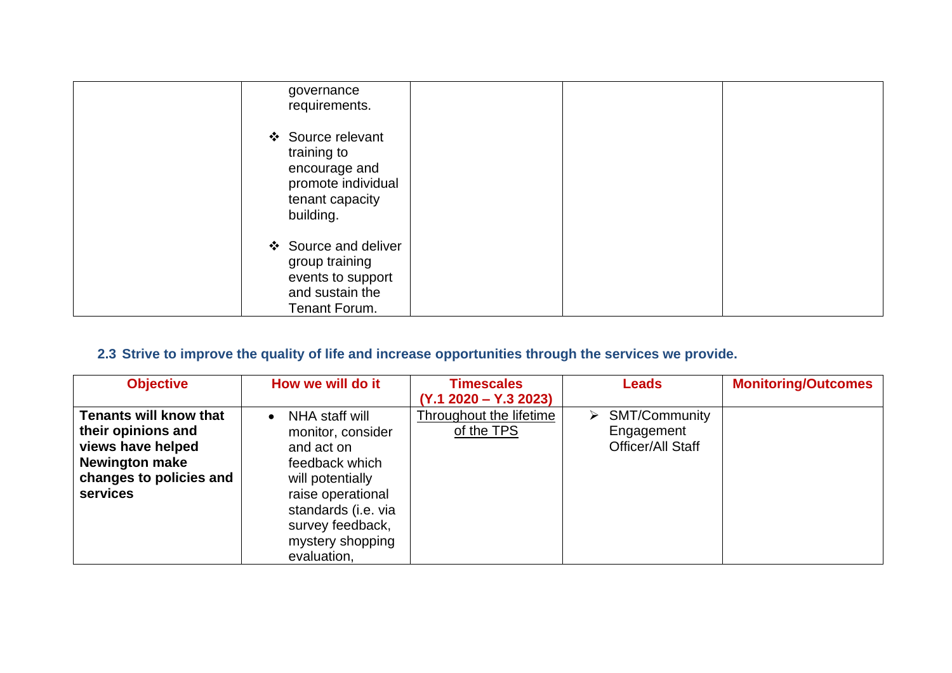| governance<br>requirements.                                                                             |  |
|---------------------------------------------------------------------------------------------------------|--|
| ❖ Source relevant<br>training to<br>encourage and<br>promote individual<br>tenant capacity<br>building. |  |
| ❖ Source and deliver<br>group training<br>events to support<br>and sustain the<br>Tenant Forum.         |  |

### **2.3 Strive to improve the quality of life and increase opportunities through the services we provide.**

| <b>Objective</b>              | How we will do it           | <b>Timescales</b>       | <b>Leads</b>                   | <b>Monitoring/Outcomes</b> |
|-------------------------------|-----------------------------|-------------------------|--------------------------------|----------------------------|
|                               |                             | $(Y.1 2020 - Y.3 2023)$ |                                |                            |
| <b>Tenants will know that</b> | NHA staff will<br>$\bullet$ | Throughout the lifetime | $\triangleright$ SMT/Community |                            |
| their opinions and            | monitor, consider           | of the TPS              | Engagement                     |                            |
| views have helped             | and act on                  |                         | <b>Officer/All Staff</b>       |                            |
| <b>Newington make</b>         | feedback which              |                         |                                |                            |
| changes to policies and       | will potentially            |                         |                                |                            |
| <b>services</b>               | raise operational           |                         |                                |                            |
|                               | standards (i.e. via         |                         |                                |                            |
|                               | survey feedback,            |                         |                                |                            |
|                               | mystery shopping            |                         |                                |                            |
|                               | evaluation,                 |                         |                                |                            |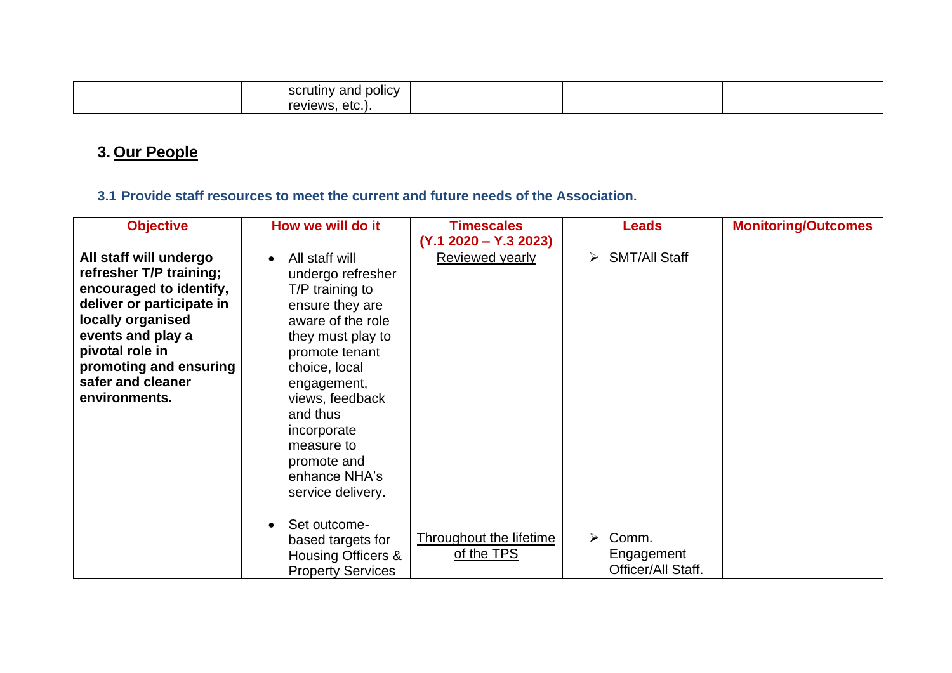| . .<br>scrutiny<br>and policy |  |  |
|-------------------------------|--|--|
| reviews<br>etc.               |  |  |

# **3. Our People**

#### **3.1 Provide staff resources to meet the current and future needs of the Association.**

| <b>Objective</b>          | How we will do it           | <b>Timescales</b>       | <b>Leads</b>                                  | <b>Monitoring/Outcomes</b> |
|---------------------------|-----------------------------|-------------------------|-----------------------------------------------|----------------------------|
|                           |                             | $(Y.1 2020 - Y.3 2023)$ |                                               |                            |
| All staff will undergo    | All staff will<br>$\bullet$ | Reviewed yearly         | <b>SMT/All Staff</b><br>$\blacktriangleright$ |                            |
| refresher T/P training;   | undergo refresher           |                         |                                               |                            |
| encouraged to identify,   | T/P training to             |                         |                                               |                            |
| deliver or participate in | ensure they are             |                         |                                               |                            |
| locally organised         | aware of the role           |                         |                                               |                            |
| events and play a         | they must play to           |                         |                                               |                            |
| pivotal role in           | promote tenant              |                         |                                               |                            |
| promoting and ensuring    | choice, local               |                         |                                               |                            |
| safer and cleaner         | engagement,                 |                         |                                               |                            |
| environments.             | views, feedback             |                         |                                               |                            |
|                           | and thus                    |                         |                                               |                            |
|                           | incorporate                 |                         |                                               |                            |
|                           | measure to                  |                         |                                               |                            |
|                           | promote and                 |                         |                                               |                            |
|                           | enhance NHA's               |                         |                                               |                            |
|                           | service delivery.           |                         |                                               |                            |
|                           |                             |                         |                                               |                            |
|                           | Set outcome-                |                         |                                               |                            |
|                           | based targets for           | Throughout the lifetime | Comm.<br>➤                                    |                            |
|                           | Housing Officers &          | of the TPS              | Engagement                                    |                            |
|                           | <b>Property Services</b>    |                         | Officer/All Staff.                            |                            |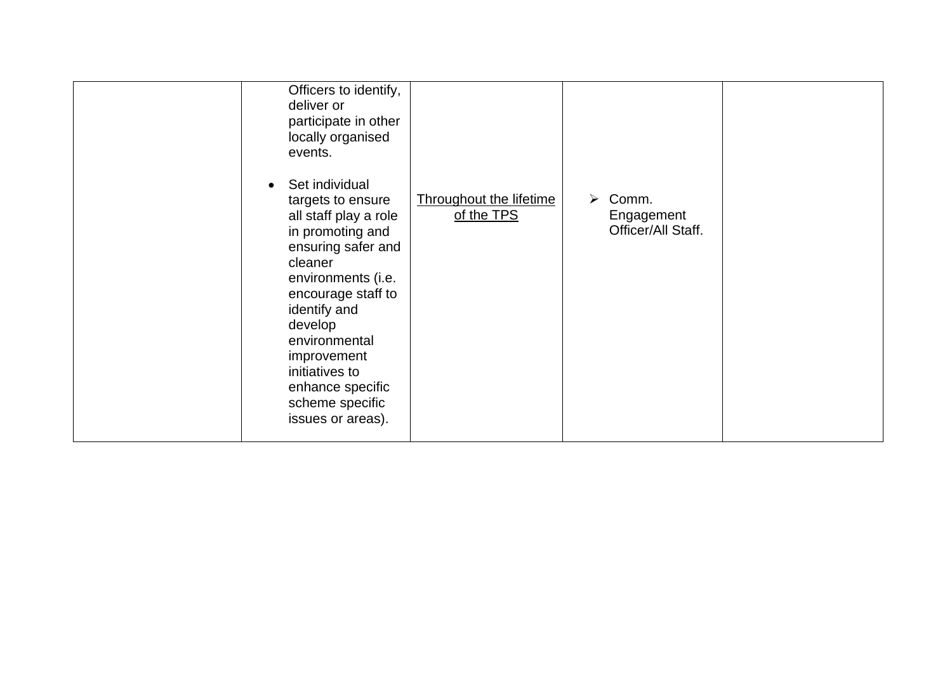| Officers to identify,<br>deliver or<br>participate in other<br>locally organised<br>events.<br>Set individual<br>targets to ensure<br>all staff play a role<br>in promoting and<br>ensuring safer and<br>cleaner<br>environments (i.e.<br>encourage staff to<br>identify and<br>develop<br>environmental<br>improvement<br>initiatives to<br>enhance specific<br>scheme specific<br>issues or areas). | <b>Throughout the lifetime</b><br>$\triangleright$ Comm.<br>of the TPS<br>Engagement<br>Officer/All Staff. |  |
|-------------------------------------------------------------------------------------------------------------------------------------------------------------------------------------------------------------------------------------------------------------------------------------------------------------------------------------------------------------------------------------------------------|------------------------------------------------------------------------------------------------------------|--|
|-------------------------------------------------------------------------------------------------------------------------------------------------------------------------------------------------------------------------------------------------------------------------------------------------------------------------------------------------------------------------------------------------------|------------------------------------------------------------------------------------------------------------|--|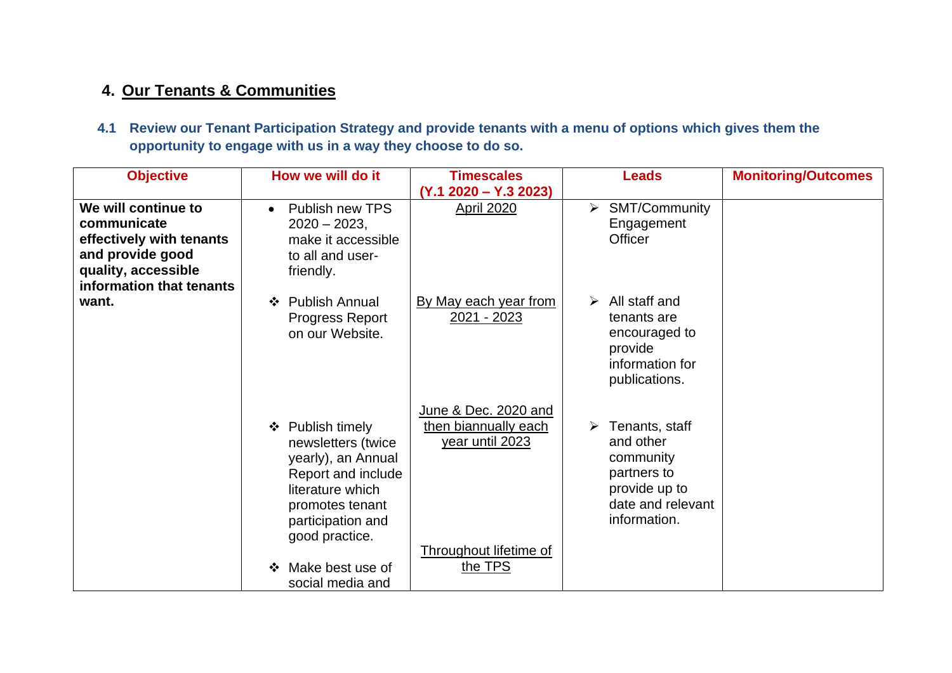### **4. Our Tenants & Communities**

**4.1 Review our Tenant Participation Strategy and provide tenants with a menu of options which gives them the opportunity to engage with us in a way they choose to do so.**

| <b>Objective</b>                                                                                                                      | How we will do it                                                                                                                                                                                                | <b>Timescales</b>                                                                                    | <b>Leads</b>                                                                                                                   | <b>Monitoring/Outcomes</b> |
|---------------------------------------------------------------------------------------------------------------------------------------|------------------------------------------------------------------------------------------------------------------------------------------------------------------------------------------------------------------|------------------------------------------------------------------------------------------------------|--------------------------------------------------------------------------------------------------------------------------------|----------------------------|
| We will continue to<br>communicate<br>effectively with tenants<br>and provide good<br>quality, accessible<br>information that tenants | Publish new TPS<br>$\bullet$<br>$2020 - 2023$ ,<br>make it accessible<br>to all and user-<br>friendly.                                                                                                           | $(Y.1 2020 - Y.3 2023)$<br><b>April 2020</b>                                                         | $\triangleright$ SMT/Community<br>Engagement<br>Officer                                                                        |                            |
| want.                                                                                                                                 | <b>Publish Annual</b><br>❖<br><b>Progress Report</b><br>on our Website.                                                                                                                                          | By May each year from<br>2021 - 2023                                                                 | $\triangleright$ All staff and<br>tenants are<br>encouraged to<br>provide<br>information for<br>publications.                  |                            |
|                                                                                                                                       | Publish timely<br>❖<br>newsletters (twice<br>yearly), an Annual<br>Report and include<br>literature which<br>promotes tenant<br>participation and<br>good practice.<br>Make best use of<br>❖<br>social media and | June & Dec. 2020 and<br>then biannually each<br>year until 2023<br>Throughout lifetime of<br>the TPS | $\triangleright$ Tenants, staff<br>and other<br>community<br>partners to<br>provide up to<br>date and relevant<br>information. |                            |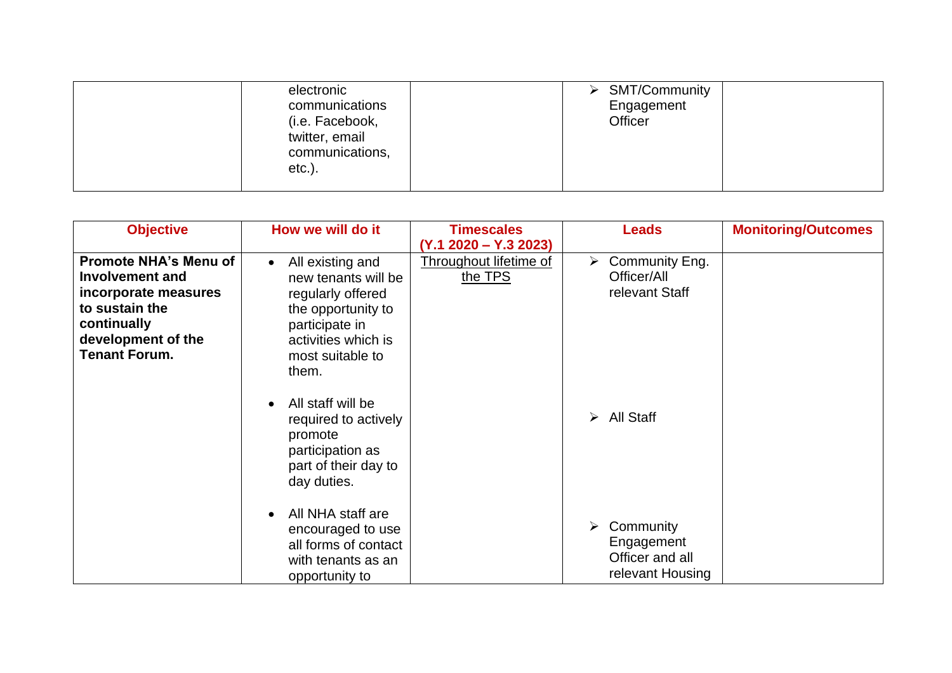| electronic      |  | <b>SMT/Community</b> |  |
|-----------------|--|----------------------|--|
| communications  |  | Engagement           |  |
| (i.e. Facebook, |  | Officer              |  |
| twitter, email  |  |                      |  |
| communications, |  |                      |  |
| $etc.$ ).       |  |                      |  |
|                 |  |                      |  |

| <b>Objective</b>                                                                                                                                              | How we will do it                                                                                                                                                     | <b>Timescales</b>                 | <b>Leads</b>                                                                    | <b>Monitoring/Outcomes</b> |
|---------------------------------------------------------------------------------------------------------------------------------------------------------------|-----------------------------------------------------------------------------------------------------------------------------------------------------------------------|-----------------------------------|---------------------------------------------------------------------------------|----------------------------|
|                                                                                                                                                               |                                                                                                                                                                       | $(Y.1 2020 - Y.3 2023)$           |                                                                                 |                            |
| <b>Promote NHA's Menu of</b><br><b>Involvement and</b><br>incorporate measures<br>to sustain the<br>continually<br>development of the<br><b>Tenant Forum.</b> | All existing and<br>$\bullet$<br>new tenants will be<br>regularly offered<br>the opportunity to<br>participate in<br>activities which is<br>most suitable to<br>them. | Throughout lifetime of<br>the TPS | $\triangleright$ Community Eng.<br>Officer/All<br>relevant Staff                |                            |
|                                                                                                                                                               | All staff will be<br>required to actively<br>promote<br>participation as<br>part of their day to<br>day duties.                                                       |                                   | $\triangleright$ All Staff                                                      |                            |
|                                                                                                                                                               | All NHA staff are<br>encouraged to use<br>all forms of contact<br>with tenants as an<br>opportunity to                                                                |                                   | $\triangleright$ Community<br>Engagement<br>Officer and all<br>relevant Housing |                            |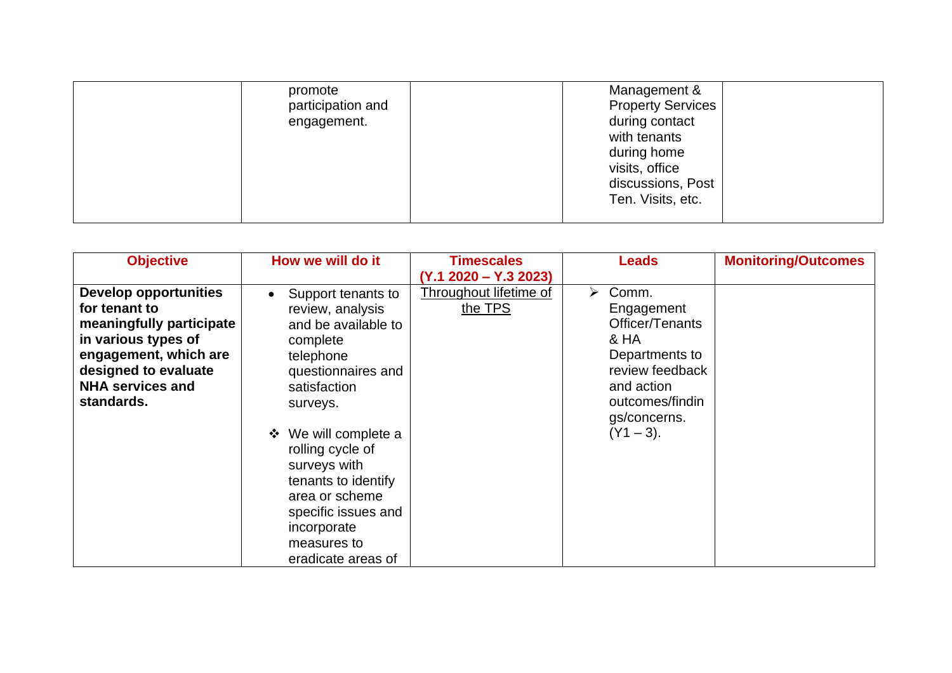| promote           | Management &             |
|-------------------|--------------------------|
| participation and | <b>Property Services</b> |
| engagement.       | during contact           |
|                   | with tenants             |
|                   | during home              |
|                   | visits, office           |
|                   | discussions, Post        |
|                   | Ten. Visits, etc.        |
|                   |                          |

| <b>Objective</b>             | How we will do it               | <b>Timescales</b>       | <b>Leads</b>           | <b>Monitoring/Outcomes</b> |
|------------------------------|---------------------------------|-------------------------|------------------------|----------------------------|
|                              |                                 | $(Y.1 2020 - Y.3 2023)$ |                        |                            |
| <b>Develop opportunities</b> | Support tenants to<br>$\bullet$ | Throughout lifetime of  | $\triangleright$ Comm. |                            |
| for tenant to                | review, analysis                | the TPS                 | Engagement             |                            |
| meaningfully participate     | and be available to             |                         | Officer/Tenants        |                            |
| in various types of          | complete                        |                         | & HA                   |                            |
| engagement, which are        | telephone                       |                         | Departments to         |                            |
| designed to evaluate         | questionnaires and              |                         | review feedback        |                            |
| <b>NHA services and</b>      | satisfaction                    |                         | and action             |                            |
| standards.                   | surveys.                        |                         | outcomes/findin        |                            |
|                              |                                 |                         | gs/concerns.           |                            |
|                              | We will complete a<br>$\bullet$ |                         | $(Y1 - 3)$ .           |                            |
|                              | rolling cycle of                |                         |                        |                            |
|                              | surveys with                    |                         |                        |                            |
|                              | tenants to identify             |                         |                        |                            |
|                              | area or scheme                  |                         |                        |                            |
|                              | specific issues and             |                         |                        |                            |
|                              | incorporate                     |                         |                        |                            |
|                              | measures to                     |                         |                        |                            |
|                              | eradicate areas of              |                         |                        |                            |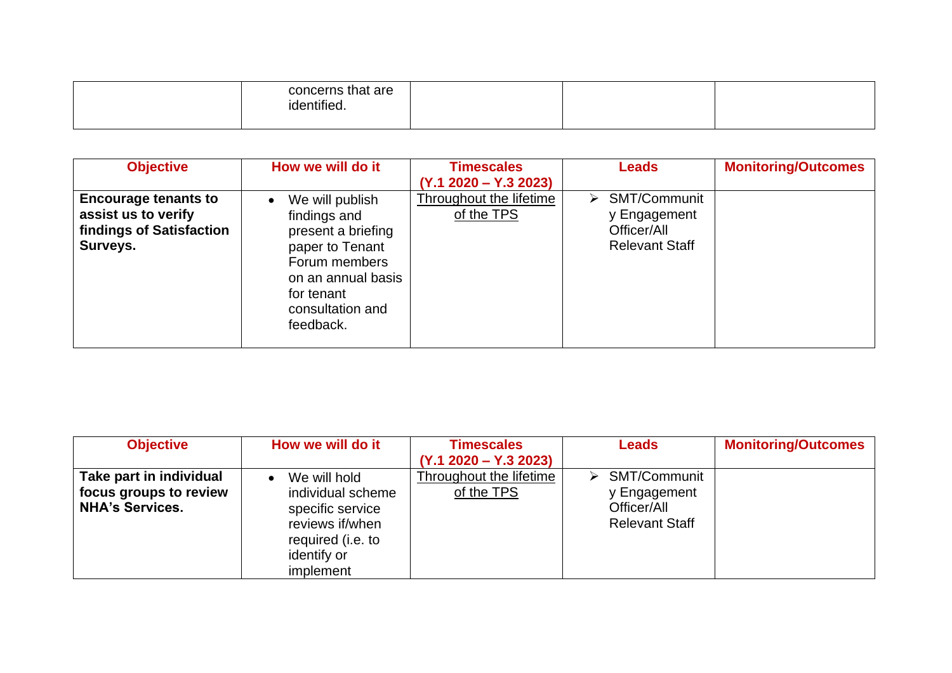| identified. |  | concerns that are |  |  |  |
|-------------|--|-------------------|--|--|--|
|-------------|--|-------------------|--|--|--|

| <b>Objective</b>                                                                           | How we will do it                                                                                                                                                           | <b>Timescales</b><br>$(Y.1 2020 - Y.3 2023)$ | <b>Leads</b>                                                              | <b>Monitoring/Outcomes</b> |
|--------------------------------------------------------------------------------------------|-----------------------------------------------------------------------------------------------------------------------------------------------------------------------------|----------------------------------------------|---------------------------------------------------------------------------|----------------------------|
| <b>Encourage tenants to</b><br>assist us to verify<br>findings of Satisfaction<br>Surveys. | We will publish<br>$\bullet$<br>findings and<br>present a briefing<br>paper to Tenant<br>Forum members<br>on an annual basis<br>for tenant<br>consultation and<br>feedback. | Throughout the lifetime<br>of the TPS        | SMT/Communit<br>➤<br>y Engagement<br>Officer/All<br><b>Relevant Staff</b> |                            |

| <b>Objective</b>                                                            | How we will do it                                                                                            | <b>Timescales</b>                     | <b>Leads</b>                                                                     | <b>Monitoring/Outcomes</b> |
|-----------------------------------------------------------------------------|--------------------------------------------------------------------------------------------------------------|---------------------------------------|----------------------------------------------------------------------------------|----------------------------|
|                                                                             |                                                                                                              | $(Y.1 2020 - Y.3 2023)$               |                                                                                  |                            |
| Take part in individual<br>focus groups to review<br><b>NHA's Services.</b> | We will hold<br>individual scheme<br>specific service<br>reviews if/when<br>required (i.e. to<br>identify or | Throughout the lifetime<br>of the TPS | <b>SMT/Communit</b><br>⋗<br>y Engagement<br>Officer/All<br><b>Relevant Staff</b> |                            |
|                                                                             | implement                                                                                                    |                                       |                                                                                  |                            |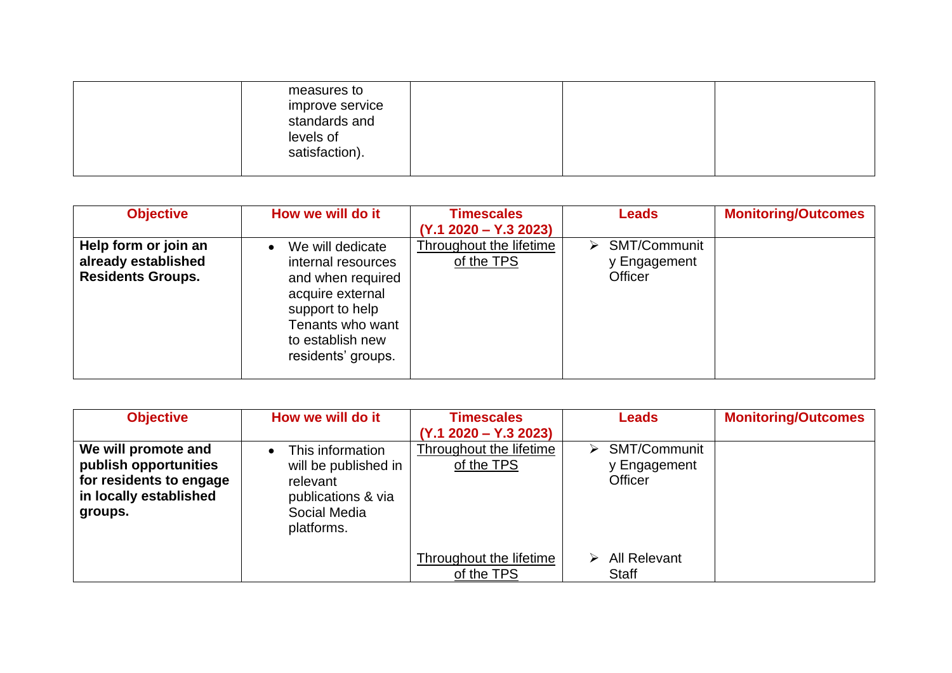| measures to<br>improve service<br>standards and<br>levels of<br>satisfaction). |  |  |
|--------------------------------------------------------------------------------|--|--|
|                                                                                |  |  |

| <b>Objective</b>                                                        | How we will do it                                                                                                                                                             | <b>Timescales</b><br>$(Y.1 2020 - Y.3 2023)$ | <b>Leads</b>                                        | <b>Monitoring/Outcomes</b> |
|-------------------------------------------------------------------------|-------------------------------------------------------------------------------------------------------------------------------------------------------------------------------|----------------------------------------------|-----------------------------------------------------|----------------------------|
| Help form or join an<br>already established<br><b>Residents Groups.</b> | We will dedicate<br>$\bullet$<br>internal resources<br>and when required<br>acquire external<br>support to help<br>Tenants who want<br>to establish new<br>residents' groups. | <b>Throughout the lifetime</b><br>of the TPS | SMT/Communit<br>➤<br>y Engagement<br><b>Officer</b> |                            |

| <b>Objective</b>        | How we will do it             | <b>Timescales</b>       | <b>Leads</b>      | <b>Monitoring/Outcomes</b> |
|-------------------------|-------------------------------|-------------------------|-------------------|----------------------------|
|                         |                               | $(Y.1 2020 - Y.3 2023)$ |                   |                            |
| We will promote and     | This information<br>$\bullet$ | Throughout the lifetime | SMT/Communit<br>➤ |                            |
| publish opportunities   | will be published in          | of the TPS              | y Engagement      |                            |
| for residents to engage | relevant                      |                         | <b>Officer</b>    |                            |
| in locally established  | publications & via            |                         |                   |                            |
| groups.                 | Social Media                  |                         |                   |                            |
|                         | platforms.                    |                         |                   |                            |
|                         |                               |                         |                   |                            |
|                         |                               | Throughout the lifetime | All Relevant      |                            |
|                         |                               | of the TPS              | Staff             |                            |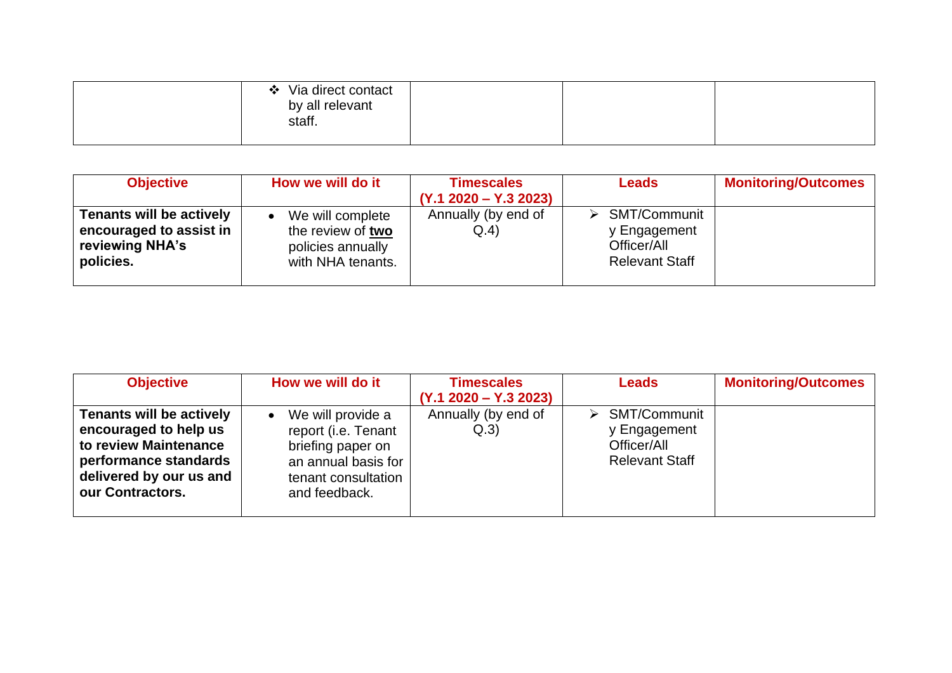| Via direct contact<br>$\bullet$<br>by all relevant<br>staff. |  |  |
|--------------------------------------------------------------|--|--|
|                                                              |  |  |

| <b>Objective</b>                                                                           | How we will do it                                                                            | <b>Timescales</b><br>$(Y.1 2020 - Y.3 2023)$ | <b>Leads</b>                                                         | <b>Monitoring/Outcomes</b> |
|--------------------------------------------------------------------------------------------|----------------------------------------------------------------------------------------------|----------------------------------------------|----------------------------------------------------------------------|----------------------------|
| <b>Tenants will be actively</b><br>encouraged to assist in<br>reviewing NHA's<br>policies. | We will complete<br>$\bullet$<br>the review of two<br>policies annually<br>with NHA tenants. | Annually (by end of<br>Q.4                   | SMT/Communit<br>y Engagement<br>Officer/All<br><b>Relevant Staff</b> |                            |

| <b>Objective</b>                | How we will do it              | <b>Timescales</b>       | <b>Leads</b>                  | <b>Monitoring/Outcomes</b> |
|---------------------------------|--------------------------------|-------------------------|-------------------------------|----------------------------|
|                                 |                                | $(Y.1 2020 - Y.3 2023)$ |                               |                            |
| <b>Tenants will be actively</b> | We will provide a<br>$\bullet$ | Annually (by end of     | $\triangleright$ SMT/Communit |                            |
| encouraged to help us           | report (i.e. Tenant            | Q.3)                    | y Engagement                  |                            |
| to review Maintenance           | briefing paper on              |                         | Officer/All                   |                            |
| performance standards           | an annual basis for            |                         | <b>Relevant Staff</b>         |                            |
| delivered by our us and         | tenant consultation            |                         |                               |                            |
| our Contractors.                | and feedback.                  |                         |                               |                            |
|                                 |                                |                         |                               |                            |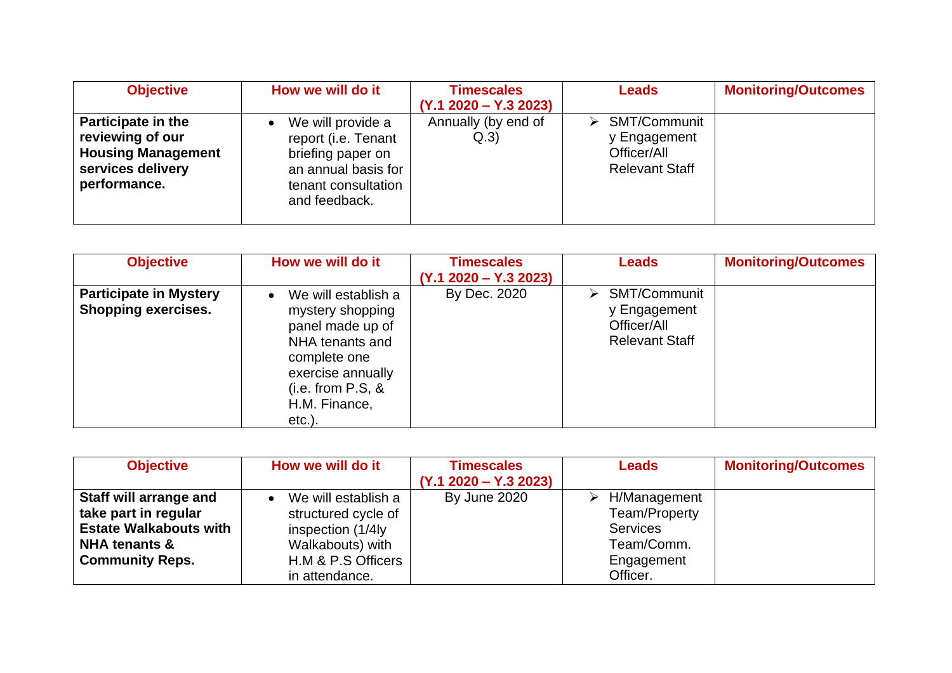| <b>Objective</b>                                                                                         | How we will do it                                                                                                                         | <b>Timescales</b>           | <b>Leads</b>                                                                          | <b>Monitoring/Outcomes</b> |
|----------------------------------------------------------------------------------------------------------|-------------------------------------------------------------------------------------------------------------------------------------------|-----------------------------|---------------------------------------------------------------------------------------|----------------------------|
|                                                                                                          |                                                                                                                                           | $(Y.1 2020 - Y.3 2023)$     |                                                                                       |                            |
| Participate in the<br>reviewing of our<br><b>Housing Management</b><br>services delivery<br>performance. | We will provide a<br>$\bullet$<br>report (i.e. Tenant<br>briefing paper on<br>an annual basis for<br>tenant consultation<br>and feedback. | Annually (by end of<br>Q.3) | $\triangleright$ SMT/Communit<br>y Engagement<br>Officer/All<br><b>Relevant Staff</b> |                            |

| <b>Objective</b>              | How we will do it                | <b>Timescales</b>       | <b>Leads</b>          | <b>Monitoring/Outcomes</b> |
|-------------------------------|----------------------------------|-------------------------|-----------------------|----------------------------|
|                               |                                  | $(Y.1 2020 - Y.3 2023)$ |                       |                            |
| <b>Participate in Mystery</b> | We will establish a<br>$\bullet$ | By Dec. 2020            | SMT/Communit<br>➤     |                            |
| Shopping exercises.           | mystery shopping                 |                         | y Engagement          |                            |
|                               | panel made up of                 |                         | Officer/All           |                            |
|                               | NHA tenants and                  |                         | <b>Relevant Staff</b> |                            |
|                               | complete one                     |                         |                       |                            |
|                               | exercise annually                |                         |                       |                            |
|                               | $(i.e. from P.S, 8$              |                         |                       |                            |
|                               | H.M. Finance,                    |                         |                       |                            |
|                               | $etc.$ ).                        |                         |                       |                            |

| <b>Objective</b>              | How we will do it                | <b>Timescales</b>       | <b>Leads</b>    | <b>Monitoring/Outcomes</b> |
|-------------------------------|----------------------------------|-------------------------|-----------------|----------------------------|
|                               |                                  | $(Y.1 2020 - Y.3 2023)$ |                 |                            |
| Staff will arrange and        | We will establish a<br>$\bullet$ | By June 2020            | H/Management    |                            |
| take part in regular          | structured cycle of              |                         | Team/Property   |                            |
| <b>Estate Walkabouts with</b> | inspection (1/4ly                |                         | <b>Services</b> |                            |
| <b>NHA tenants &amp;</b>      | Walkabouts) with                 |                         | Team/Comm.      |                            |
| <b>Community Reps.</b>        | H.M & P.S Officers               |                         | Engagement      |                            |
|                               | in attendance.                   |                         | Officer.        |                            |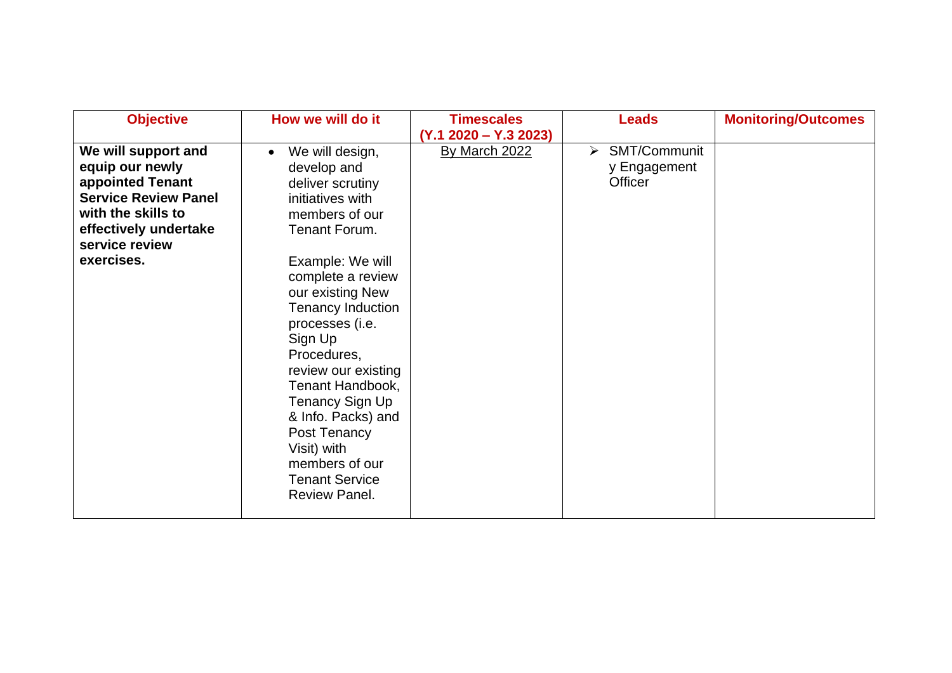| <b>Objective</b>                                                                                                                                                         | How we will do it                                                                                                                                                                                                                                                                             | <b>Timescales</b><br>$(Y.1 2020 - Y.3 2023)$ | <b>Leads</b>                                 | <b>Monitoring/Outcomes</b> |
|--------------------------------------------------------------------------------------------------------------------------------------------------------------------------|-----------------------------------------------------------------------------------------------------------------------------------------------------------------------------------------------------------------------------------------------------------------------------------------------|----------------------------------------------|----------------------------------------------|----------------------------|
| We will support and<br>equip our newly<br>appointed Tenant<br><b>Service Review Panel</b><br>with the skills to<br>effectively undertake<br>service review<br>exercises. | We will design,<br>$\bullet$<br>develop and<br>deliver scrutiny<br>initiatives with<br>members of our<br>Tenant Forum.<br>Example: We will                                                                                                                                                    | By March 2022                                | SMT/Communit<br>➤<br>y Engagement<br>Officer |                            |
|                                                                                                                                                                          | complete a review<br>our existing New<br>Tenancy Induction<br>processes (i.e.<br>Sign Up<br>Procedures,<br>review our existing<br>Tenant Handbook,<br>Tenancy Sign Up<br>& Info. Packs) and<br>Post Tenancy<br>Visit) with<br>members of our<br><b>Tenant Service</b><br><b>Review Panel.</b> |                                              |                                              |                            |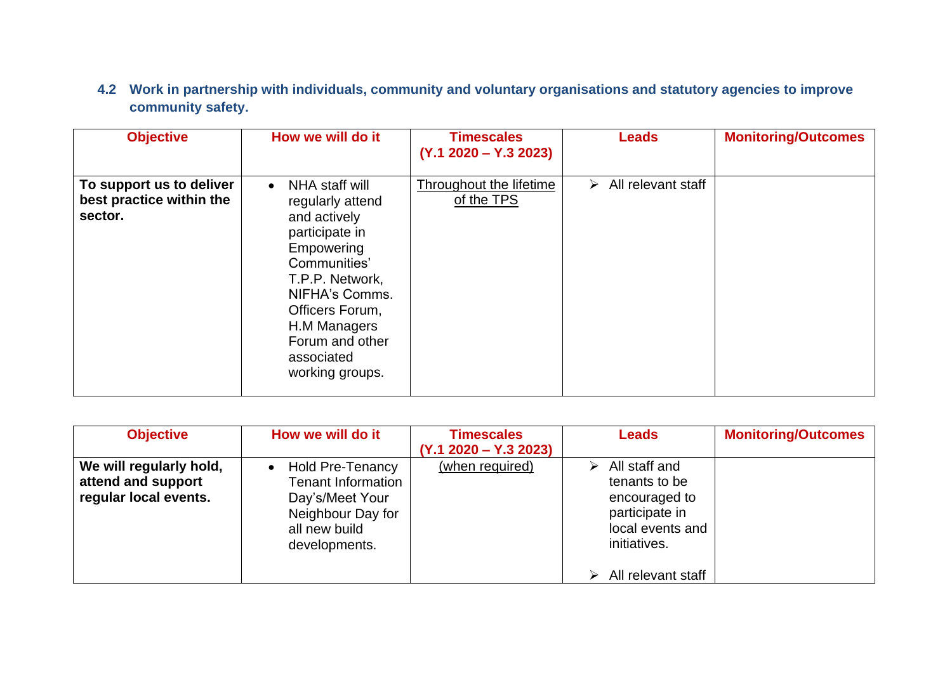**4.2 Work in partnership with individuals, community and voluntary organisations and statutory agencies to improve community safety.**

| <b>Objective</b>                                                | How we will do it                                                                                                                                                                                                                           | <b>Timescales</b><br>$(Y.1 2020 - Y.3 2023)$ | <b>Leads</b>                        | <b>Monitoring/Outcomes</b> |
|-----------------------------------------------------------------|---------------------------------------------------------------------------------------------------------------------------------------------------------------------------------------------------------------------------------------------|----------------------------------------------|-------------------------------------|----------------------------|
| To support us to deliver<br>best practice within the<br>sector. | NHA staff will<br>$\bullet$<br>regularly attend<br>and actively<br>participate in<br>Empowering<br>Communities'<br>T.P.P. Network,<br>NIFHA's Comms.<br>Officers Forum,<br>H.M Managers<br>Forum and other<br>associated<br>working groups. | <b>Throughout the lifetime</b><br>of the TPS | $\triangleright$ All relevant staff |                            |

| <b>Objective</b>                                                       | How we will do it                                                                                                                           | <b>Timescales</b><br>$(Y.1 2020 - Y.3 2023)$ | <b>Leads</b>                                                                                                                     | <b>Monitoring/Outcomes</b> |
|------------------------------------------------------------------------|---------------------------------------------------------------------------------------------------------------------------------------------|----------------------------------------------|----------------------------------------------------------------------------------------------------------------------------------|----------------------------|
| We will regularly hold,<br>attend and support<br>regular local events. | <b>Hold Pre-Tenancy</b><br>$\bullet$<br><b>Tenant Information</b><br>Day's/Meet Your<br>Neighbour Day for<br>all new build<br>developments. | (when required)                              | All staff and<br>➤<br>tenants to be<br>encouraged to<br>participate in<br>local events and<br>initiatives.<br>All relevant staff |                            |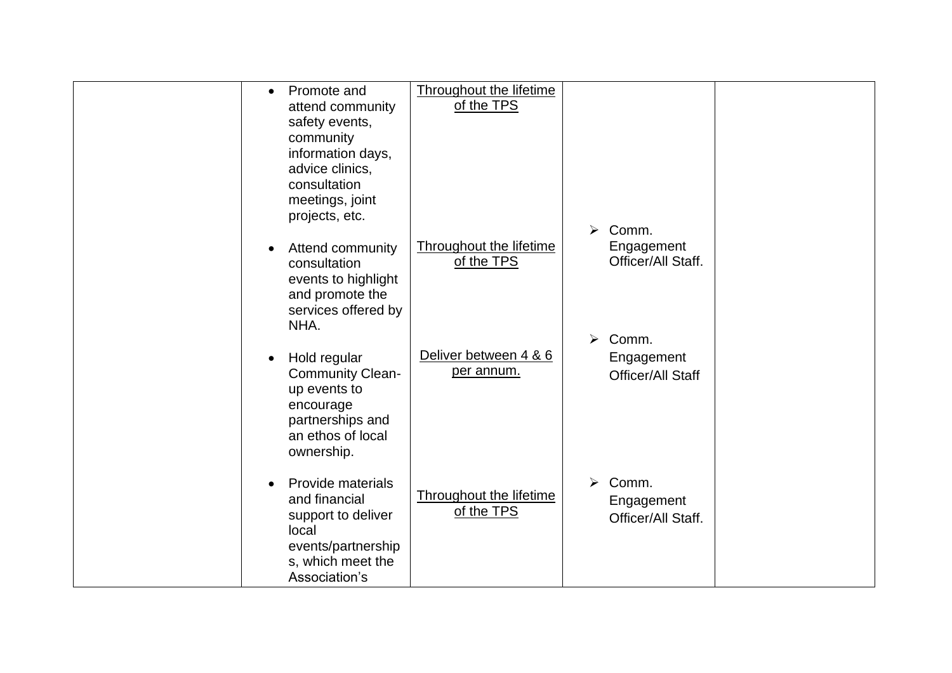| Promote and<br>$\bullet$<br>attend community<br>safety events,<br>community<br>information days,<br>advice clinics,<br>consultation<br>meetings, joint<br>projects, etc. | <b>Throughout the lifetime</b><br>of the TPS | Comm.<br>➤                                     |  |
|--------------------------------------------------------------------------------------------------------------------------------------------------------------------------|----------------------------------------------|------------------------------------------------|--|
| <b>Attend community</b><br>consultation<br>events to highlight<br>and promote the<br>services offered by<br>NHA.                                                         | <b>Throughout the lifetime</b><br>of the TPS | Engagement<br>Officer/All Staff.<br>Comm.<br>➤ |  |
| Hold regular<br><b>Community Clean-</b><br>up events to<br>encourage<br>partnerships and<br>an ethos of local<br>ownership.                                              | Deliver between 4 & 6<br>per annum.          | Engagement<br><b>Officer/All Staff</b>         |  |
| Provide materials<br>and financial<br>support to deliver<br>local<br>events/partnership<br>s, which meet the<br>Association's                                            | <b>Throughout the lifetime</b><br>of the TPS | Comm.<br>⋗<br>Engagement<br>Officer/All Staff. |  |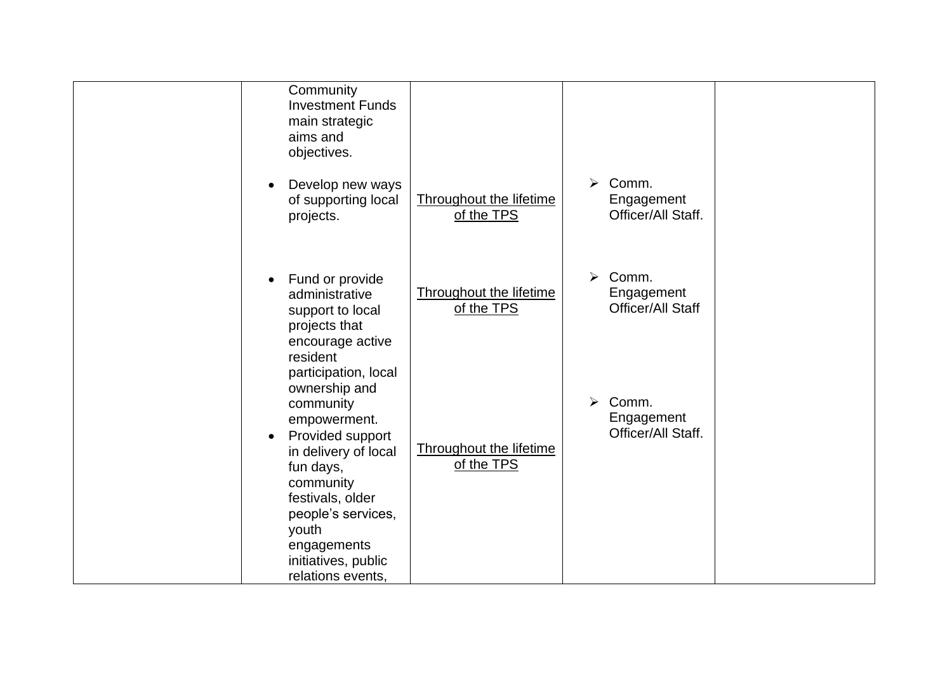| Community<br><b>Investment Funds</b><br>main strategic<br>aims and<br>objectives.                                                                                                                                                           |                                       |                                                |  |
|---------------------------------------------------------------------------------------------------------------------------------------------------------------------------------------------------------------------------------------------|---------------------------------------|------------------------------------------------|--|
| Develop new ways<br>$\bullet$<br>of supporting local<br>projects.                                                                                                                                                                           | Throughout the lifetime<br>of the TPS | Comm.<br>➤<br>Engagement<br>Officer/All Staff. |  |
| Fund or provide<br>$\bullet$<br>administrative<br>support to local<br>projects that<br>encourage active<br>resident<br>participation, local                                                                                                 | Throughout the lifetime<br>of the TPS | Comm.<br>➤<br>Engagement<br>Officer/All Staff  |  |
| ownership and<br>community<br>empowerment.<br>Provided support<br>$\bullet$<br>in delivery of local<br>fun days,<br>community<br>festivals, older<br>people's services,<br>youth<br>engagements<br>initiatives, public<br>relations events. | Throughout the lifetime<br>of the TPS | Comm.<br>↘<br>Engagement<br>Officer/All Staff. |  |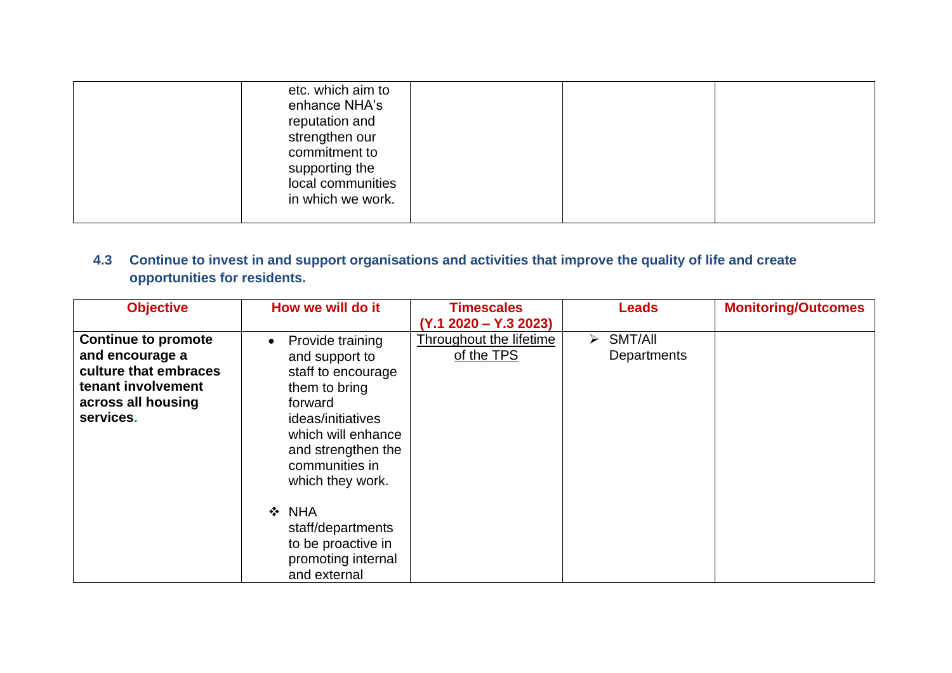| etc. which aim to<br>enhance NHA's<br>reputation and<br>strengthen our    |  |
|---------------------------------------------------------------------------|--|
| commitment to<br>supporting the<br>local communities<br>in which we work. |  |

### **4.3 Continue to invest in and support organisations and activities that improve the quality of life and create opportunities for residents.**

| <b>Objective</b>                                                                                                                | How we will do it                                                                                                                                                                                        | <b>Timescales</b><br>$(Y.1 2020 - Y.3 2023)$ | <b>Leads</b>                | <b>Monitoring/Outcomes</b> |
|---------------------------------------------------------------------------------------------------------------------------------|----------------------------------------------------------------------------------------------------------------------------------------------------------------------------------------------------------|----------------------------------------------|-----------------------------|----------------------------|
| <b>Continue to promote</b><br>and encourage a<br>culture that embraces<br>tenant involvement<br>across all housing<br>services. | Provide training<br>$\bullet$<br>and support to<br>staff to encourage<br>them to bring<br>forward<br>ideas/initiatives<br>which will enhance<br>and strengthen the<br>communities in<br>which they work. | Throughout the lifetime<br>of the TPS        | SMT/All<br>➤<br>Departments |                            |
|                                                                                                                                 | $\div$ NHA<br>staff/departments<br>to be proactive in<br>promoting internal<br>and external                                                                                                              |                                              |                             |                            |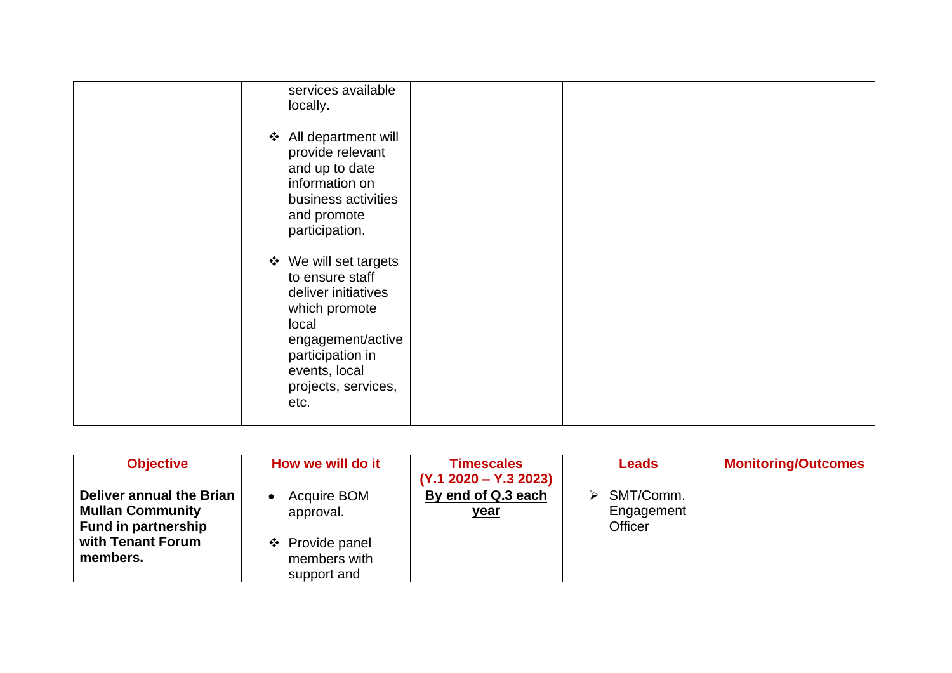| services available<br>locally.                                                                                                                                                     |  |  |
|------------------------------------------------------------------------------------------------------------------------------------------------------------------------------------|--|--|
| All department will<br>$\cdot$<br>provide relevant<br>and up to date<br>information on<br>business activities<br>and promote<br>participation.                                     |  |  |
| ❖ We will set targets<br>to ensure staff<br>deliver initiatives<br>which promote<br>local<br>engagement/active<br>participation in<br>events, local<br>projects, services,<br>etc. |  |  |

| <b>Objective</b>                                                                                                   | How we will do it                                                                       | <b>Timescales</b><br>$(Y.1 2020 - Y.3 2023)$ | <b>Leads</b>                            | <b>Monitoring/Outcomes</b> |
|--------------------------------------------------------------------------------------------------------------------|-----------------------------------------------------------------------------------------|----------------------------------------------|-----------------------------------------|----------------------------|
| Deliver annual the Brian<br><b>Mullan Community</b><br><b>Fund in partnership</b><br>with Tenant Forum<br>members. | Acquire BOM<br>$\bullet$<br>approval.<br>❖ Provide panel<br>members with<br>support and | By end of Q.3 each<br><u>year</u>            | SMT/Comm.<br>➤<br>Engagement<br>Officer |                            |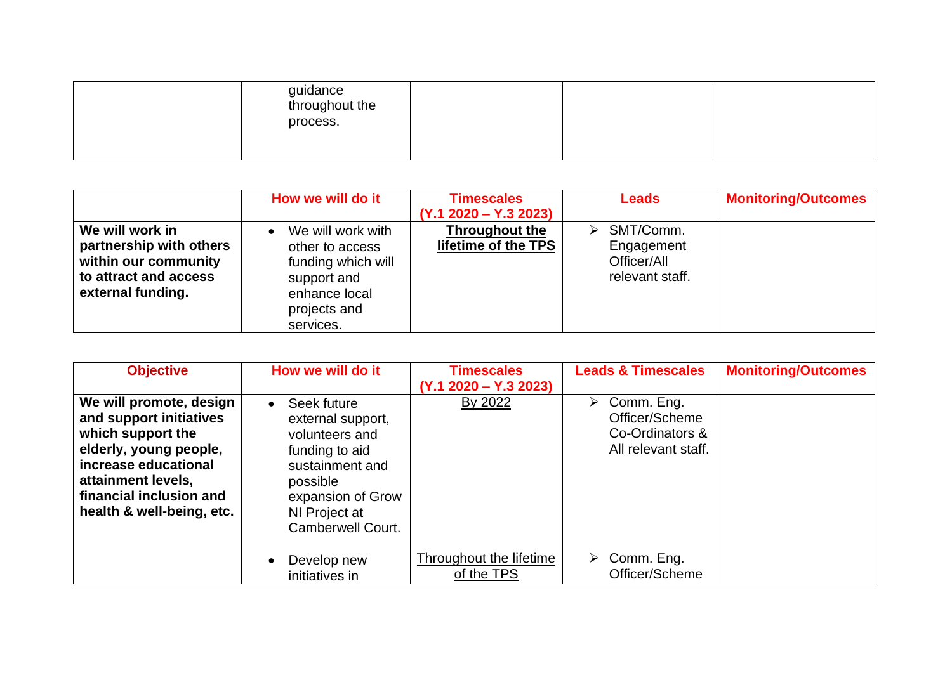| guidance<br>throughout the<br>process. |  |  |
|----------------------------------------|--|--|
|                                        |  |  |

|                                                                                                                  | How we will do it                                                                                                                    | <b>Timescales</b><br>$(Y.1 2020 - Y.3 2023)$ | <b>Leads</b>                                                               | <b>Monitoring/Outcomes</b> |
|------------------------------------------------------------------------------------------------------------------|--------------------------------------------------------------------------------------------------------------------------------------|----------------------------------------------|----------------------------------------------------------------------------|----------------------------|
| We will work in<br>partnership with others<br>within our community<br>to attract and access<br>external funding. | We will work with<br>$\bullet$<br>other to access<br>funding which will<br>support and<br>enhance local<br>projects and<br>services. | Throughout the<br>lifetime of the TPS        | $\triangleright$ SMT/Comm.<br>Engagement<br>Officer/All<br>relevant staff. |                            |

| <b>Objective</b>                                                                                                                                                                                        | How we will do it                                                                                                                                                           | <b>Timescales</b><br>$(Y.1 2020 - Y.3 2023)$ | <b>Leads &amp; Timescales</b>                                                           | <b>Monitoring/Outcomes</b> |
|---------------------------------------------------------------------------------------------------------------------------------------------------------------------------------------------------------|-----------------------------------------------------------------------------------------------------------------------------------------------------------------------------|----------------------------------------------|-----------------------------------------------------------------------------------------|----------------------------|
| We will promote, design<br>and support initiatives<br>which support the<br>elderly, young people,<br>increase educational<br>attainment levels,<br>financial inclusion and<br>health & well-being, etc. | Seek future<br>$\bullet$<br>external support,<br>volunteers and<br>funding to aid<br>sustainment and<br>possible<br>expansion of Grow<br>NI Project at<br>Camberwell Court. | By 2022                                      | $\triangleright$ Comm. Eng.<br>Officer/Scheme<br>Co-Ordinators &<br>All relevant staff. |                            |
|                                                                                                                                                                                                         | Develop new<br>$\bullet$<br>initiatives in                                                                                                                                  | Throughout the lifetime<br>of the TPS        | $\triangleright$ Comm. Eng.<br>Officer/Scheme                                           |                            |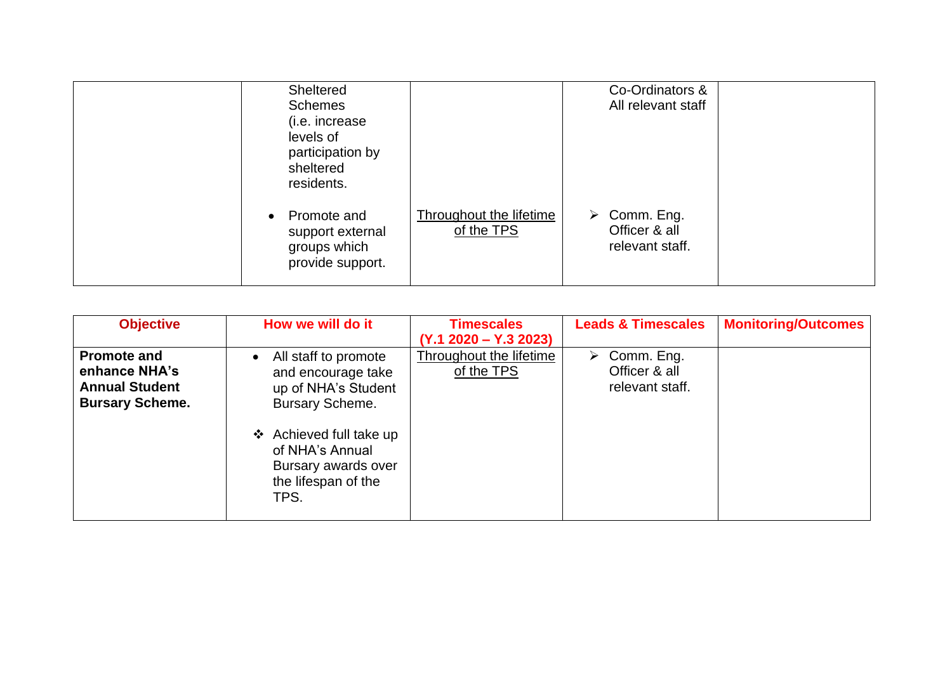|           | <b>Sheltered</b><br><b>Schemes</b><br>(i.e. increase<br>levels of<br>participation by<br>sheltered<br>residents. |                                              | Co-Ordinators &<br>All relevant staff                           |  |
|-----------|------------------------------------------------------------------------------------------------------------------|----------------------------------------------|-----------------------------------------------------------------|--|
| $\bullet$ | Promote and<br>support external<br>groups which<br>provide support.                                              | <b>Throughout the lifetime</b><br>of the TPS | $\triangleright$ Comm. Eng.<br>Officer & all<br>relevant staff. |  |

| <b>Objective</b>                                                                       | How we will do it                                                                                                                                                                               | <b>Timescales</b><br>$(Y.1 2020 - Y.3 2023)$ | <b>Leads &amp; Timescales</b>                                   | <b>Monitoring/Outcomes</b> |
|----------------------------------------------------------------------------------------|-------------------------------------------------------------------------------------------------------------------------------------------------------------------------------------------------|----------------------------------------------|-----------------------------------------------------------------|----------------------------|
| <b>Promote and</b><br>enhance NHA's<br><b>Annual Student</b><br><b>Bursary Scheme.</b> | All staff to promote<br>and encourage take<br>up of NHA's Student<br><b>Bursary Scheme.</b><br>❖ Achieved full take up<br>of NHA's Annual<br>Bursary awards over<br>the lifespan of the<br>TPS. | Throughout the lifetime<br>of the TPS        | $\triangleright$ Comm. Eng.<br>Officer & all<br>relevant staff. |                            |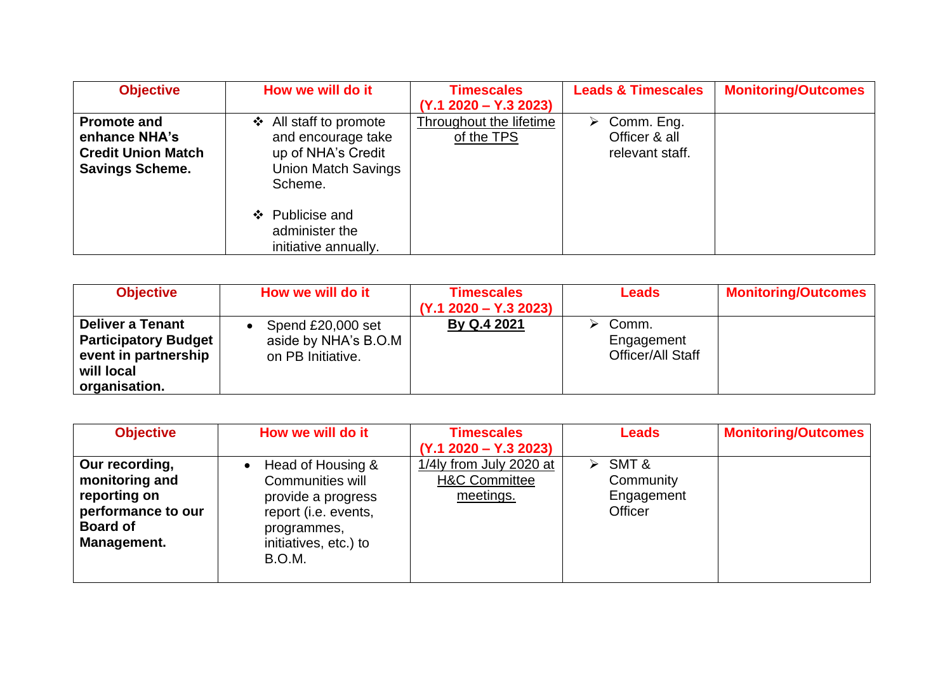| <b>Objective</b>                                                                           | How we will do it                                                                                                                                   | <b>Timescales</b><br>$(Y.1 2020 - Y.3 2023)$ | <b>Leads &amp; Timescales</b>                                   | <b>Monitoring/Outcomes</b> |
|--------------------------------------------------------------------------------------------|-----------------------------------------------------------------------------------------------------------------------------------------------------|----------------------------------------------|-----------------------------------------------------------------|----------------------------|
| <b>Promote and</b><br>enhance NHA's<br><b>Credit Union Match</b><br><b>Savings Scheme.</b> | All staff to promote<br>❖<br>and encourage take<br>up of NHA's Credit<br><b>Union Match Savings</b><br>Scheme.<br>❖ Publicise and<br>administer the | Throughout the lifetime<br>of the TPS        | $\triangleright$ Comm. Eng.<br>Officer & all<br>relevant staff. |                            |
|                                                                                            | initiative annually.                                                                                                                                |                                              |                                                                 |                            |

| <b>Objective</b>                                                                                              | How we will do it                                              | <b>Timescales</b>       | <b>Leads</b>                             | <b>Monitoring/Outcomes</b> |
|---------------------------------------------------------------------------------------------------------------|----------------------------------------------------------------|-------------------------|------------------------------------------|----------------------------|
|                                                                                                               |                                                                | $(Y.1 2020 - Y.3 2023)$ |                                          |                            |
| <b>Deliver a Tenant</b><br><b>Participatory Budget</b><br>event in partnership<br>will local<br>organisation. | Spend £20,000 set<br>aside by NHA's B.O.M<br>on PB Initiative. | By Q.4 2021             | Comm.<br>Engagement<br>Officer/All Staff |                            |

| <b>Objective</b>                                                                                         | How we will do it                                                                                                                            | <b>Timescales</b><br>$(Y.1 2020 - Y.3 2023)$                     | <b>Leads</b>                                     | <b>Monitoring/Outcomes</b> |
|----------------------------------------------------------------------------------------------------------|----------------------------------------------------------------------------------------------------------------------------------------------|------------------------------------------------------------------|--------------------------------------------------|----------------------------|
| Our recording,<br>monitoring and<br>reporting on<br>performance to our<br><b>Board of</b><br>Management. | Head of Housing &<br>Communities will<br>provide a progress<br>report (i.e. events,<br>programmes,<br>initiatives, etc.) to<br><b>B.O.M.</b> | 1/4ly from July 2020 at<br><b>H&amp;C Committee</b><br>meetings. | SMT &<br>➤<br>Community<br>Engagement<br>Officer |                            |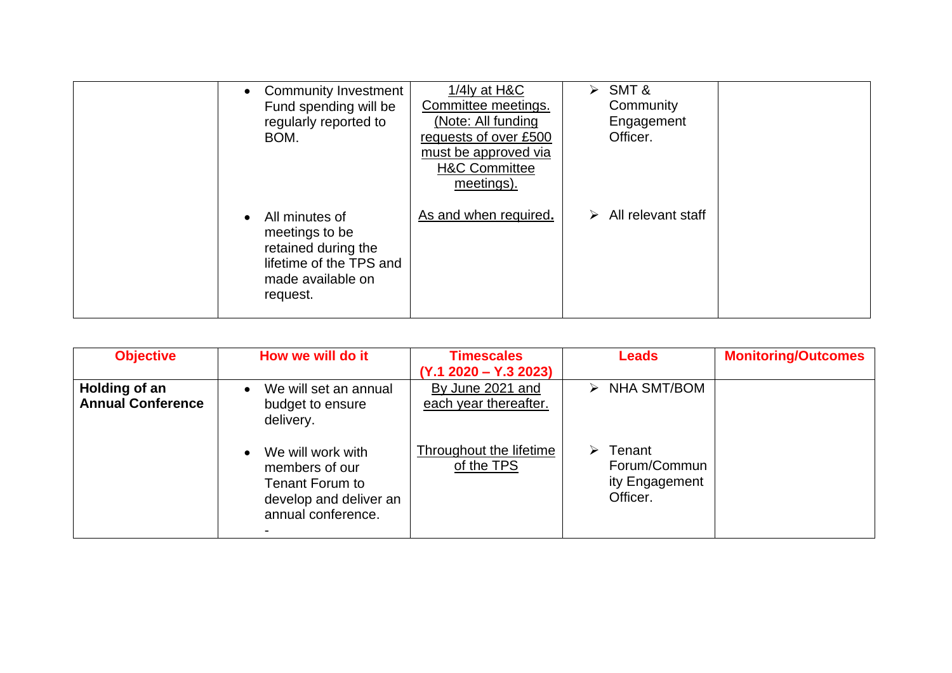| <b>Community Investment</b><br>Fund spending will be<br>regularly reported to<br>BOM.                               | 1/4 $ly$ at H&C<br>Committee meetings.<br>(Note: All funding<br>requests of over £500<br>must be approved via<br><b>H&amp;C Committee</b><br>meetings). | $\triangleright$ SMT &<br>Community<br>Engagement<br>Officer. |  |
|---------------------------------------------------------------------------------------------------------------------|---------------------------------------------------------------------------------------------------------------------------------------------------------|---------------------------------------------------------------|--|
| All minutes of<br>meetings to be<br>retained during the<br>lifetime of the TPS and<br>made available on<br>request. | As and when required.                                                                                                                                   | $\triangleright$ All relevant staff                           |  |

| <b>Objective</b>                          | How we will do it                                                                                      | <b>Timescales</b><br>$(Y.1 2020 - Y.3 2023)$ | <b>Leads</b>                                              | <b>Monitoring/Outcomes</b> |
|-------------------------------------------|--------------------------------------------------------------------------------------------------------|----------------------------------------------|-----------------------------------------------------------|----------------------------|
| Holding of an<br><b>Annual Conference</b> | We will set an annual<br>$\bullet$<br>budget to ensure<br>delivery.                                    | By June 2021 and<br>each year thereafter.    | $\triangleright$ NHA SMT/BOM                              |                            |
|                                           | We will work with<br>members of our<br>Tenant Forum to<br>develop and deliver an<br>annual conference. | Throughout the lifetime<br>of the TPS        | Tenant<br>➤<br>Forum/Commun<br>ity Engagement<br>Officer. |                            |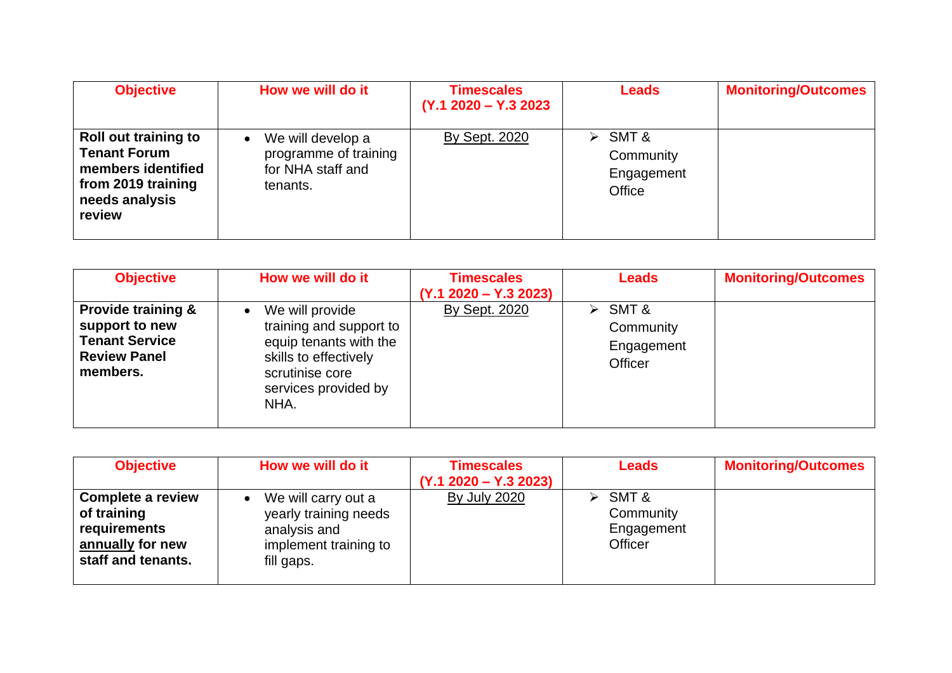| <b>Objective</b>                                                                                                           | How we will do it                                                                        | <b>Timescales</b><br>$(Y.1 2020 - Y.3 2023)$ | <b>Leads</b>                                                | <b>Monitoring/Outcomes</b> |
|----------------------------------------------------------------------------------------------------------------------------|------------------------------------------------------------------------------------------|----------------------------------------------|-------------------------------------------------------------|----------------------------|
| <b>Roll out training to</b><br><b>Tenant Forum</b><br>members identified<br>from 2019 training<br>needs analysis<br>review | We will develop a<br>$\bullet$<br>programme of training<br>for NHA staff and<br>tenants. | <b>By Sept. 2020</b>                         | $\triangleright$ SMT &<br>Community<br>Engagement<br>Office |                            |

| <b>Objective</b>                                                                                            | How we will do it                                                                                                                                             | <b>Timescales</b><br>$(Y.1 2020 - Y.3 2023)$ | <b>Leads</b>                                                        | <b>Monitoring/Outcomes</b> |
|-------------------------------------------------------------------------------------------------------------|---------------------------------------------------------------------------------------------------------------------------------------------------------------|----------------------------------------------|---------------------------------------------------------------------|----------------------------|
| <b>Provide training &amp;</b><br>support to new<br><b>Tenant Service</b><br><b>Review Panel</b><br>members. | We will provide<br>$\bullet$<br>training and support to<br>equip tenants with the<br>skills to effectively<br>scrutinise core<br>services provided by<br>NHA. | <b>By Sept. 2020</b>                         | $\triangleright$ SMT &<br>Community<br>Engagement<br><b>Officer</b> |                            |

| <b>Objective</b>                                                                                  | How we will do it                                                                                   | <b>Timescales</b><br>$(Y.1 2020 - Y.3 2023)$ | <b>Leads</b>                                                 | <b>Monitoring/Outcomes</b> |
|---------------------------------------------------------------------------------------------------|-----------------------------------------------------------------------------------------------------|----------------------------------------------|--------------------------------------------------------------|----------------------------|
| <b>Complete a review</b><br>of training<br>requirements<br>annually for new<br>staff and tenants. | We will carry out a<br>yearly training needs<br>analysis and<br>implement training to<br>fill gaps. | <b>By July 2020</b>                          | $\triangleright$ SMT &<br>Community<br>Engagement<br>Officer |                            |